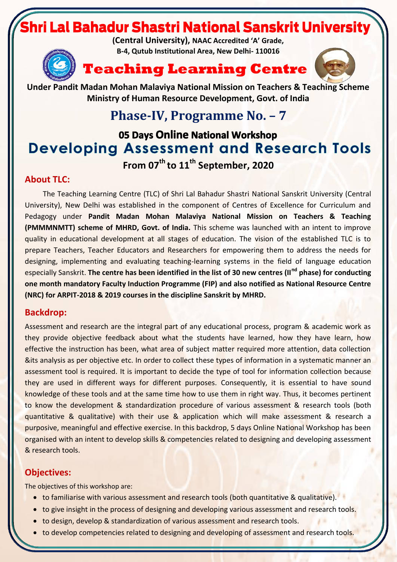# ri Lal Bahadur Shastri National Sanskrit University

**(Central University), NAAC Accredited 'A' Grade, B-4, Qutub Institutional Area, New Delhi- 110016**







**Under Pandit Madan Mohan Malaviya National Mission on Teachers & Teaching Scheme Ministry of Human Resource Development, Govt. of India**

## **Phase-IV, Programme No. – 7**

### 05 Days Online National Workshop **Developing Assessment and Research Tools From 07 th to 11 th September, 2020**

**About TLC:**

The Teaching Learning Centre (TLC) of Shri Lal Bahadur Shastri National Sanskrit University (Central University), New Delhi was established in the component of Centres of Excellence for Curriculum and Pedagogy under **Pandit Madan Mohan Malaviya National Mission on Teachers & Teaching (PMMMNMTT) scheme of MHRD, Govt. of India.** This scheme was launched with an intent to improve quality in educational development at all stages of education. The vision of the established TLC is to prepare Teachers, Teacher Educators and Researchers for empowering them to address the needs for designing, implementing and evaluating teaching-learning systems in the field of language education especially Sanskrit. **The centre has been identified in the list of 30 new centres (IInd phase) for conducting one month mandatory Faculty Induction Programme (FIP) and also notified as National Resource Centre (NRC) for ARPIT-2018 & 2019 courses in the discipline Sanskrit by MHRD.**

#### **Backdrop:**

Assessment and research are the integral part of any educational process, program & academic work as they provide objective feedback about what the students have learned, how they have learn, how effective the instruction has been, what area of subject matter required more attention, data collection &its analysis as per objective etc. In order to collect these types of information in a systematic manner an assessment tool is required. It is important to decide the type of tool for information collection because they are used in different ways for different purposes. Consequently, it is essential to have sound knowledge of these tools and at the same time how to use them in right way. Thus, it becomes pertinent to know the development & standardization procedure of various assessment & research tools (both quantitative & qualitative) with their use & application which will make assessment & research a purposive, meaningful and effective exercise. In this backdrop, 5 days Online National Workshop has been organised with an intent to develop skills & competencies related to designing and developing assessment & research tools.

### **Objectives:**

The objectives of this workshop are:

- to familiarise with various assessment and research tools (both quantitative & qualitative).
- to give insight in the process of designing and developing various assessment and research tools.
- to design, develop & standardization of various assessment and research tools.
- to develop competencies related to designing and developing of assessment and research tools.